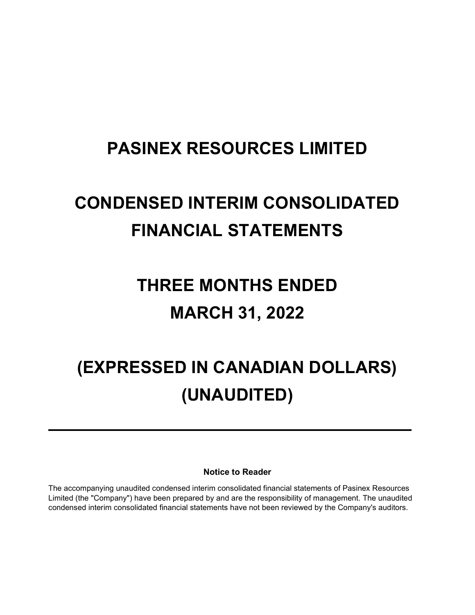## PASINEX RESOURCES LIMITED

## CONDENSED INTERIM CONSOLIDATED FINANCIAL STATEMENTS

## THREE MONTHS ENDED MARCH 31, 2022

# (EXPRESSED IN CANADIAN DOLLARS) (UNAUDITED)

Notice to Reader

The accompanying unaudited condensed interim consolidated financial statements of Pasinex Resources Limited (the "Company") have been prepared by and are the responsibility of management. The unaudited condensed interim consolidated financial statements have not been reviewed by the Company's auditors.

 $\ddot{\phantom{a}}$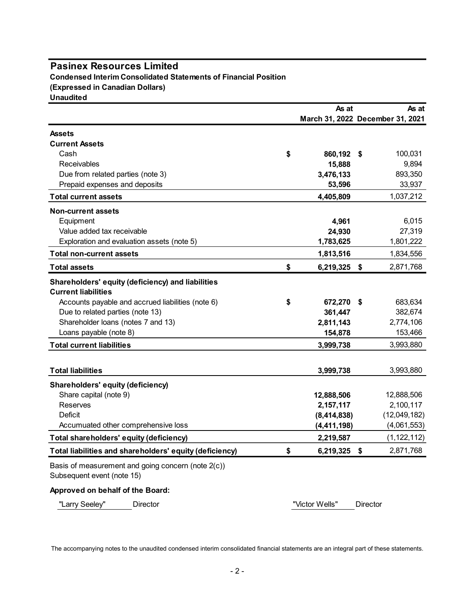### Pasinex Resources Limited

| <b>Pasinex Resources Limited</b>                                                 |                                  |                 |               |
|----------------------------------------------------------------------------------|----------------------------------|-----------------|---------------|
| <b>Condensed Interim Consolidated Statements of Financial Position</b>           |                                  |                 |               |
| (Expressed in Canadian Dollars)                                                  |                                  |                 |               |
| <b>Unaudited</b>                                                                 |                                  |                 |               |
|                                                                                  | As at                            |                 | As at         |
|                                                                                  | March 31, 2022 December 31, 2021 |                 |               |
| <b>Assets</b>                                                                    |                                  |                 |               |
| <b>Current Assets</b>                                                            |                                  |                 |               |
| Cash                                                                             | \$<br>860,192 \$                 |                 | 100,031       |
| Receivables                                                                      | 15,888                           |                 | 9,894         |
| Due from related parties (note 3)                                                | 3,476,133                        |                 | 893,350       |
| Prepaid expenses and deposits                                                    | 53,596                           |                 | 33,937        |
| <b>Total current assets</b>                                                      | 4,405,809                        |                 | 1,037,212     |
| <b>Non-current assets</b>                                                        |                                  |                 |               |
| Equipment                                                                        | 4,961                            |                 | 6,015         |
| Value added tax receivable                                                       | 24,930                           |                 | 27,319        |
| Exploration and evaluation assets (note 5)                                       | 1,783,625                        |                 | 1,801,222     |
| <b>Total non-current assets</b>                                                  | 1,813,516                        |                 | 1,834,556     |
| <b>Total assets</b>                                                              | \$<br>6,219,325 \$               |                 | 2,871,768     |
| Shareholders' equity (deficiency) and liabilities                                |                                  |                 |               |
| <b>Current liabilities</b>                                                       |                                  |                 |               |
| Accounts payable and accrued liabilities (note 6)                                | \$<br>672,270 \$                 |                 | 683,634       |
| Due to related parties (note 13)                                                 | 361,447                          |                 | 382,674       |
| Shareholder loans (notes 7 and 13)                                               | 2,811,143                        |                 | 2,774,106     |
| Loans payable (note 8)                                                           | 154,878                          |                 | 153,466       |
| <b>Total current liabilities</b>                                                 | 3,999,738                        |                 | 3,993,880     |
|                                                                                  |                                  |                 |               |
| <b>Total liabilities</b>                                                         | 3,999,738                        |                 | 3,993,880     |
| <b>Shareholders' equity (deficiency)</b>                                         |                                  |                 |               |
| Share capital (note 9)                                                           | 12,888,506                       |                 | 12,888,506    |
| Reserves                                                                         | 2,157,117                        |                 | 2,100,117     |
| Deficit                                                                          | (8,414,838)                      |                 | (12,049,182)  |
| Accumuated other comprehensive loss                                              | (4, 411, 198)                    |                 | (4,061,553)   |
| Total shareholders' equity (deficiency)                                          | 2,219,587                        |                 | (1, 122, 112) |
| Total liabilities and shareholders' equity (deficiency)                          | \$<br>6,219,325 \$               |                 | 2,871,768     |
| Basis of measurement and going concern (note 2(c))<br>Subsequent event (note 15) |                                  |                 |               |
| Approved on behalf of the Board:                                                 |                                  |                 |               |
|                                                                                  |                                  |                 |               |
| "Larry Seeley"<br>Director                                                       | "Victor Wells"                   | <b>Director</b> |               |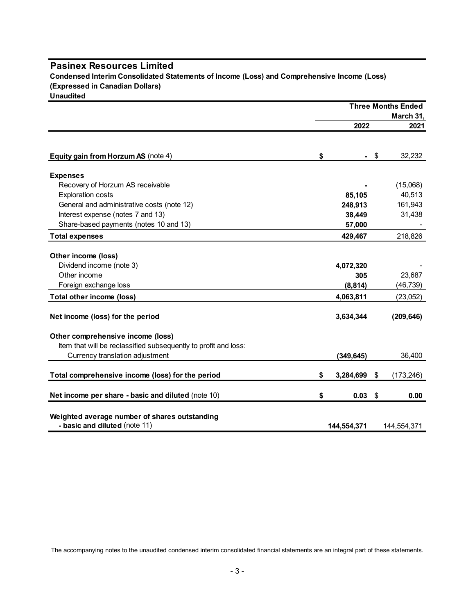#### Pasinex Resources Limited

| <b>Pasinex Resources Limited</b>                                                           |                    |      |                           |
|--------------------------------------------------------------------------------------------|--------------------|------|---------------------------|
| Condensed Interim Consolidated Statements of Income (Loss) and Comprehensive Income (Loss) |                    |      |                           |
| (Expressed in Canadian Dollars)                                                            |                    |      |                           |
| <b>Unaudited</b>                                                                           |                    |      | <b>Three Months Ended</b> |
|                                                                                            |                    |      | March 31,                 |
|                                                                                            | 2022               |      | 2021                      |
|                                                                                            |                    |      |                           |
| Equity gain from Horzum AS (note 4)                                                        | \$                 | - \$ | 32,232                    |
|                                                                                            |                    |      |                           |
| <b>Expenses</b>                                                                            |                    |      |                           |
| Recovery of Horzum AS receivable<br><b>Exploration costs</b>                               | 85,105             |      | (15,068)<br>40,513        |
| General and administrative costs (note 12)                                                 | 248,913            |      | 161,943                   |
| Interest expense (notes 7 and 13)                                                          | 38,449             |      | 31,438                    |
| Share-based payments (notes 10 and 13)                                                     | 57,000             |      |                           |
| <b>Total expenses</b>                                                                      | 429,467            |      | 218,826                   |
|                                                                                            |                    |      |                           |
| Other income (loss)                                                                        |                    |      |                           |
| Dividend income (note 3)<br>Other income                                                   | 4,072,320<br>305   |      | 23,687                    |
| Foreign exchange loss                                                                      | (8, 814)           |      | (46, 739)                 |
| Total other income (loss)                                                                  | 4,063,811          |      | (23,052)                  |
|                                                                                            |                    |      |                           |
| Net income (loss) for the period                                                           | 3,634,344          |      | (209, 646)                |
| Other comprehensive income (loss)                                                          |                    |      |                           |
| Item that will be reclassified subsequently to profit and loss:                            |                    |      |                           |
| Currency translation adjustment                                                            | (349, 645)         |      | 36,400                    |
| Total comprehensive income (loss) for the period                                           | \$<br>3,284,699 \$ |      | (173, 246)                |
| Net income per share - basic and diluted (note 10)                                         | \$<br>$0.03$ \$    |      | 0.00                      |
| Weighted average number of shares outstanding                                              |                    |      |                           |
|                                                                                            |                    |      |                           |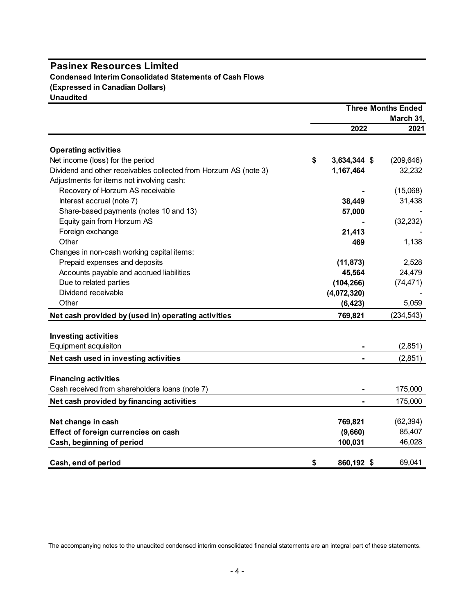#### Pasinex Resources Limited Condensed Interim Consolidated Statements of Cash Flows (Expressed in Canadian Dollars) **Unaudited**

Three Months Ended March 31, hree Months Ended<br>
March 31,<br>
2022 2021<br>
2021<br>
344 \$ (209,646)<br>
32,232 Operating activities Pasinex Resources Limited<br>
Condensed Interim Consolidated Statements of Cash Flows<br>
Expressed in Canadian Dollars)<br>
Dividend and other receivables collected from Horzum AS (note 3)<br>
Net income (loss) for the period<br>
Divid Adjustments for items not involving cash: Recovery of Horzum AS receivable  $(15,068)$ Interest accrual (note 7) 38,449 31,438 Share-based payments (notes 10 and 13) 57,000 - 57,000 Equity gain from Horzum AS - (32,232) Foreign exchange 21,413 Other **469** 1,138 Changes in non-cash working capital items: Prepaid expenses and deposits (11,873) 2,528 Accounts payable and accrued liabilities 45,564 24,479 Due to related parties (104,266) (74,471) Dividend receivable (4,072,320) Other (6,423) 5,059 Net cash provided by (used in) operating activities 769,821 (234,543) Investing activities Equipment acquisiton  $(2,851)$ Net income (loss) for the period<br>
Dividend and other receivables collected from Horzum AS (note 3)<br>  $\Delta d$  Adjustments for items not moviolng cash:<br>
Receivable<br>
Receivable<br>
Encity of Horzum AS receivable<br>
Encity and more st Financing activities Cash received from shareholders loans (note 7)  $\sim$  175,000 Interest accounal (note 7)<br>
Share-based payments (notes 10 and 13)<br>
Share-based payments (notes 10 and 13)<br>
Equity gain from Horizum AS<br>
Chenges in non-cash working capital items:<br>
Prepaid expenses and deposits<br>
Accounts p Equipment methods by (tused in the set of origin and the change in encodence of the change in encodence and deposits<br>  $\frac{274,433}{469}$ <br>  $\frac{28,564}{460}$ <br>  $\frac{24,479}{400}$  are change in encodence of deposits<br>  $\frac{274,479}{$ Froreign exchange<br>
Changes in non-cash working capital items:<br>
Changes in non-cash working capital<br>
Accounts payable and accrued liabilities<br>
Due to related particle and deposite<br>
Due to related particle and deposite<br>
Othe Change in non-cash working capital items:<br>
Changes in non-cash working capital items:<br>
Prepaid expenses and deposits<br>
Due to related parties<br>
Due to related parties<br>
Due to related parties<br>
Other developed the control of t Prepaid expense and deposits<br>
Accounts payable and accrued liabilities<br>  $\frac{(4,072,320)}{(4,072,230)}$ <br>
Dividend receivable<br>
Dividend provided by (used in) operating activities<br>
The Cash, provided by (used in) operating activ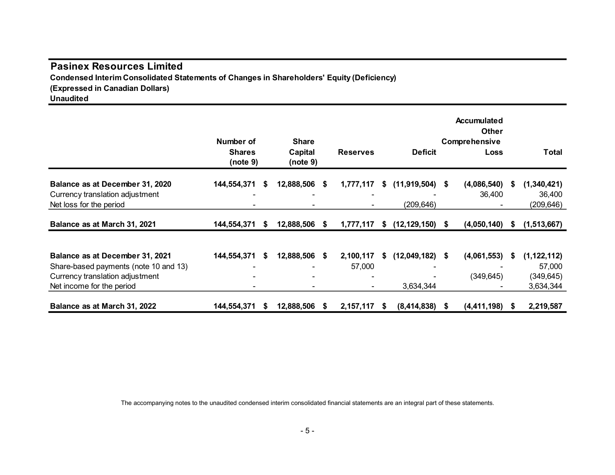### Pasinex Resources Limited Condensed Interim Consolidated Statements of Changes in Shareholders' Equity (Deficiency) (Expressed in Canadian Dollars)

| <b>Pasinex Resources Limited</b><br>Condensed Interim Consolidated Statements of Changes in Shareholders' Equity (Deficiency)<br>(Expressed in Canadian Dollars) |                                        |      |                                     |                              |      |                                 |                                               |   |                                                    |
|------------------------------------------------------------------------------------------------------------------------------------------------------------------|----------------------------------------|------|-------------------------------------|------------------------------|------|---------------------------------|-----------------------------------------------|---|----------------------------------------------------|
| <b>Unaudited</b>                                                                                                                                                 | Number of<br><b>Shares</b><br>(note 9) |      | <b>Share</b><br>Capital<br>(note 9) | <b>Reserves</b>              |      | <b>Deficit</b>                  | Accumulated<br>Other<br>Comprehensive<br>Loss |   | <b>Total</b>                                       |
| Balance as at December 31, 2020<br>Currency translation adjustment<br>Net loss for the period                                                                    | 144,554,371                            | - \$ | 12,888,506 \$                       | 1,777,117                    | - \$ | $(11,919,504)$ \$<br>(209, 646) | $(4,086,540)$ \$<br>36,400                    |   | (1,340,421)<br>36,400<br>(209, 646)                |
| Balance as at March 31, 2021                                                                                                                                     | 144,554,371                            | - \$ | 12,888,506 \$                       | 1,777,117 \$ (12,129,150) \$ |      |                                 |                                               |   | $(4,050,140)$ \$ $(1,513,667)$                     |
| Balance as at December 31, 2021<br>Share-based payments (note 10 and 13)<br>Currency translation adjustment<br>Net income for the period                         | 144,554,371                            | - \$ | 12,888,506 \$                       | 2,100,117<br>57,000          |      | $$(12,049,182)$ \$<br>3,634,344 | (4,061,553)<br>(349, 645)                     | 5 | (1, 122, 112)<br>57,000<br>(349, 645)<br>3,634,344 |
| Balance as at March 31, 2022                                                                                                                                     | 144,554,371 \$ 12,888,506 \$           |      |                                     | 2,157,117 \$                 |      | $(8,414,838)$ \$                | $(4,411,198)$ \$                              |   | 2,219,587                                          |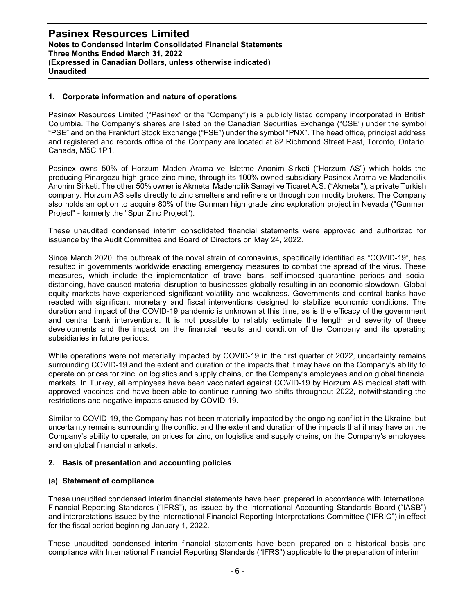#### 1. Corporate information and nature of operations

Pasinex Resources Limited ("Pasinex" or the "Company") is a publicly listed company incorporated in British Columbia. The Company's shares are listed on the Canadian Securities Exchange ("CSE") under the symbol "PSE" and on the Frankfurt Stock Exchange ("FSE") under the symbol "PNX". The head office, principal address and registered and records office of the Company are located at 82 Richmond Street East, Toronto, Ontario, Canada, M5C 1P1.

Pasinex owns 50% of Horzum Maden Arama ve Isletme Anonim Sirketi ("Horzum AS") which holds the producing Pinargozu high grade zinc mine, through its 100% owned subsidiary Pasinex Arama ve Madencilik Anonim Sirketi. The other 50% owner is Akmetal Madencilik Sanayi ve Ticaret A.S. ("Akmetal"), a private Turkish company. Horzum AS sells directly to zinc smelters and refiners or through commodity brokers. The Company also holds an option to acquire 80% of the Gunman high grade zinc exploration project in Nevada ("Gunman Project" - formerly the "Spur Zinc Project").

These unaudited condensed interim consolidated financial statements were approved and authorized for issuance by the Audit Committee and Board of Directors on May 24, 2022.

Since March 2020, the outbreak of the novel strain of coronavirus, specifically identified as "COVID-19", has resulted in governments worldwide enacting emergency measures to combat the spread of the virus. These measures, which include the implementation of travel bans, self-imposed quarantine periods and social distancing, have caused material disruption to businesses globally resulting in an economic slowdown. Global equity markets have experienced significant volatility and weakness. Governments and central banks have reacted with significant monetary and fiscal interventions designed to stabilize economic conditions. The duration and impact of the COVID-19 pandemic is unknown at this time, as is the efficacy of the government and central bank interventions. It is not possible to reliably estimate the length and severity of these developments and the impact on the financial results and condition of the Company and its operating subsidiaries in future periods.

While operations were not materially impacted by COVID-19 in the first quarter of 2022, uncertainty remains surrounding COVID-19 and the extent and duration of the impacts that it may have on the Company's ability to operate on prices for zinc, on logistics and supply chains, on the Company's employees and on global financial markets. In Turkey, all employees have been vaccinated against COVID-19 by Horzum AS medical staff with approved vaccines and have been able to continue running two shifts throughout 2022, notwithstanding the restrictions and negative impacts caused by COVID-19.

Similar to COVID-19, the Company has not been materially impacted by the ongoing conflict in the Ukraine, but uncertainty remains surrounding the conflict and the extent and duration of the impacts that it may have on the Company's ability to operate, on prices for zinc, on logistics and supply chains, on the Company's employees and on global financial markets.

#### 2. Basis of presentation and accounting policies

#### (a) Statement of compliance

These unaudited condensed interim financial statements have been prepared in accordance with International Financial Reporting Standards ("IFRS"), as issued by the International Accounting Standards Board ("IASB") and interpretations issued by the International Financial Reporting Interpretations Committee ("IFRIC") in effect for the fiscal period beginning January 1, 2022.

These unaudited condensed interim financial statements have been prepared on a historical basis and compliance with International Financial Reporting Standards ("IFRS") applicable to the preparation of interim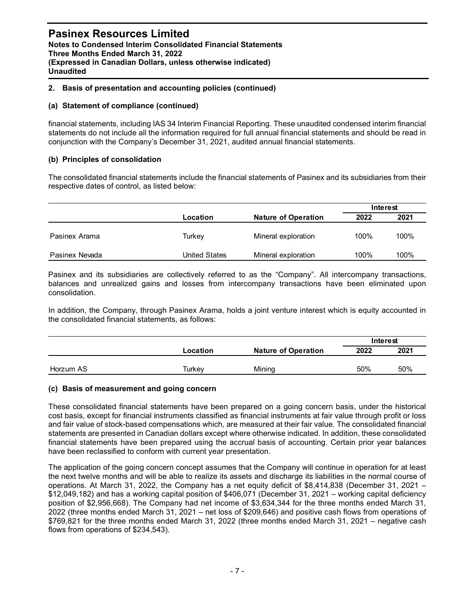#### 2. Basis of presentation and accounting policies (continued)

#### (a) Statement of compliance (continued)

#### (b) Principles of consolidation

| <b>Notes to Condensed Interim Consolidated Financial Statements</b><br>Three Months Ended March 31, 2022<br>(Expressed in Canadian Dollars, unless otherwise indicated)<br><b>Unaudited</b>                                                                                                                                                       | <b>Pasinex Resources Limited</b> |                            |      |          |
|---------------------------------------------------------------------------------------------------------------------------------------------------------------------------------------------------------------------------------------------------------------------------------------------------------------------------------------------------|----------------------------------|----------------------------|------|----------|
| 2. Basis of presentation and accounting policies (continued)                                                                                                                                                                                                                                                                                      |                                  |                            |      |          |
| (a) Statement of compliance (continued)                                                                                                                                                                                                                                                                                                           |                                  |                            |      |          |
| financial statements, including IAS 34 Interim Financial Reporting. These unaudited condensed interim financial<br>statements do not include all the information required for full annual financial statements and should be read in<br>conjunction with the Company's December 31, 2021, audited annual financial statements.                    |                                  |                            |      |          |
| (b) Principles of consolidation                                                                                                                                                                                                                                                                                                                   |                                  |                            |      |          |
| The consolidated financial statements include the financial statements of Pasinex and its subsidiaries from their<br>respective dates of control, as listed below:                                                                                                                                                                                |                                  |                            |      |          |
|                                                                                                                                                                                                                                                                                                                                                   |                                  |                            |      | Interest |
|                                                                                                                                                                                                                                                                                                                                                   | Location                         | <b>Nature of Operation</b> | 2022 | 2021     |
| Pasinex Arama                                                                                                                                                                                                                                                                                                                                     | Turkey                           | Mineral exploration        | 100% | 100%     |
| Pasinex Nevada                                                                                                                                                                                                                                                                                                                                    | <b>United States</b>             | Mineral exploration        | 100% | 100%     |
| Pasinex and its subsidiaries are collectively referred to as the "Company". All intercompany transactions,<br>balances and unrealized gains and losses from intercompany transactions have been eliminated upon<br>consolidation.<br>In addition, the Company, through Pasinex Arama, holds a joint venture interest which is equity accounted in |                                  |                            |      |          |
| the consolidated financial statements, as follows:                                                                                                                                                                                                                                                                                                |                                  |                            |      | Interest |
|                                                                                                                                                                                                                                                                                                                                                   |                                  |                            |      |          |
|                                                                                                                                                                                                                                                                                                                                                   | Location                         | <b>Nature of Operation</b> | 2022 | 2021     |

|           |          |                            |      | Interest |
|-----------|----------|----------------------------|------|----------|
|           | Location | <b>Nature of Operation</b> | 2022 | 2021     |
| Horzum AS | Turkey   | Mining                     | 50%  | 50%      |

#### (c) Basis of measurement and going concern

These consolidated financial statements have been prepared on a going concern basis, under the historical cost basis, except for financial instruments classified as financial instruments at fair value through profit or loss and fair value of stock-based compensations which, are measured at their fair value. The consolidated financial statements are presented in Canadian dollars except where otherwise indicated. In addition, these consolidated financial statements have been prepared using the accrual basis of accounting. Certain prior year balances have been reclassified to conform with current year presentation.

The application of the going concern concept assumes that the Company will continue in operation for at least the next twelve months and will be able to realize its assets and discharge its liabilities in the normal course of operations. At March 31, 2022, the Company has a net equity deficit of \$8,414,838 (December 31, 2021 – \$12,049,182) and has a working capital position of \$406,071 (December 31, 2021 – working capital deficiency position of \$2,956,668). The Company had net income of \$3,634,344 for the three months ended March 31, 2022 (three months ended March 31, 2021 – net loss of \$209,646) and positive cash flows from operations of \$769,821 for the three months ended March 31, 2022 (three months ended March 31, 2021 – negative cash flows from operations of \$234,543).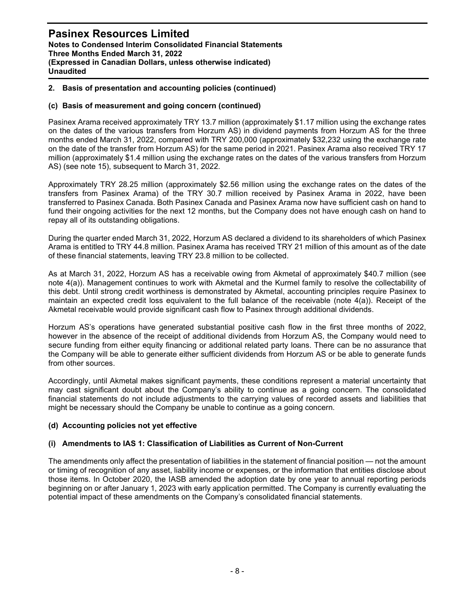#### 2. Basis of presentation and accounting policies (continued)

#### (c) Basis of measurement and going concern (continued)

Pasinex Arama received approximately TRY 13.7 million (approximately \$1.17 million using the exchange rates on the dates of the various transfers from Horzum AS) in dividend payments from Horzum AS for the three months ended March 31, 2022, compared with TRY 200,000 (approximately \$32,232 using the exchange rate on the date of the transfer from Horzum AS) for the same period in 2021. Pasinex Arama also received TRY 17 million (approximately \$1.4 million using the exchange rates on the dates of the various transfers from Horzum AS) (see note 15), subsequent to March 31, 2022.

Approximately TRY 28.25 million (approximately \$2.56 million using the exchange rates on the dates of the transfers from Pasinex Arama) of the TRY 30.7 million received by Pasinex Arama in 2022, have been transferred to Pasinex Canada. Both Pasinex Canada and Pasinex Arama now have sufficient cash on hand to fund their ongoing activities for the next 12 months, but the Company does not have enough cash on hand to repay all of its outstanding obligations.

During the quarter ended March 31, 2022, Horzum AS declared a dividend to its shareholders of which Pasinex Arama is entitled to TRY 44.8 million. Pasinex Arama has received TRY 21 million of this amount as of the date of these financial statements, leaving TRY 23.8 million to be collected.

As at March 31, 2022, Horzum AS has a receivable owing from Akmetal of approximately \$40.7 million (see note 4(a)). Management continues to work with Akmetal and the Kurmel family to resolve the collectability of this debt. Until strong credit worthiness is demonstrated by Akmetal, accounting principles require Pasinex to maintain an expected credit loss equivalent to the full balance of the receivable (note 4(a)). Receipt of the Akmetal receivable would provide significant cash flow to Pasinex through additional dividends.

Horzum AS's operations have generated substantial positive cash flow in the first three months of 2022, however in the absence of the receipt of additional dividends from Horzum AS, the Company would need to secure funding from either equity financing or additional related party loans. There can be no assurance that the Company will be able to generate either sufficient dividends from Horzum AS or be able to generate funds from other sources.

Accordingly, until Akmetal makes significant payments, these conditions represent a material uncertainty that may cast significant doubt about the Company's ability to continue as a going concern. The consolidated financial statements do not include adjustments to the carrying values of recorded assets and liabilities that might be necessary should the Company be unable to continue as a going concern.

#### (d) Accounting policies not yet effective

#### (i) Amendments to IAS 1: Classification of Liabilities as Current of Non-Current

The amendments only affect the presentation of liabilities in the statement of financial position — not the amount or timing of recognition of any asset, liability income or expenses, or the information that entities disclose about those items. In October 2020, the IASB amended the adoption date by one year to annual reporting periods beginning on or after January 1, 2023 with early application permitted. The Company is currently evaluating the potential impact of these amendments on the Company's consolidated financial statements.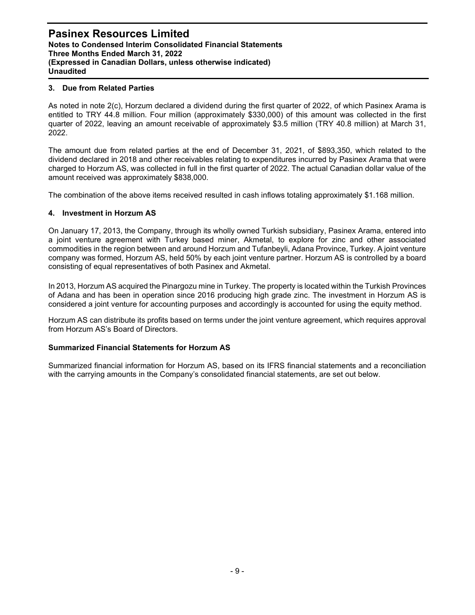#### 3. Due from Related Parties

As noted in note 2(c), Horzum declared a dividend during the first quarter of 2022, of which Pasinex Arama is entitled to TRY 44.8 million. Four million (approximately \$330,000) of this amount was collected in the first quarter of 2022, leaving an amount receivable of approximately \$3.5 million (TRY 40.8 million) at March 31, 2022.

The amount due from related parties at the end of December 31, 2021, of \$893,350, which related to the dividend declared in 2018 and other receivables relating to expenditures incurred by Pasinex Arama that were charged to Horzum AS, was collected in full in the first quarter of 2022. The actual Canadian dollar value of the amount received was approximately \$838,000.

The combination of the above items received resulted in cash inflows totaling approximately \$1.168 million.

#### 4. Investment in Horzum AS

On January 17, 2013, the Company, through its wholly owned Turkish subsidiary, Pasinex Arama, entered into a joint venture agreement with Turkey based miner, Akmetal, to explore for zinc and other associated commodities in the region between and around Horzum and Tufanbeyli, Adana Province, Turkey. A joint venture company was formed, Horzum AS, held 50% by each joint venture partner. Horzum AS is controlled by a board consisting of equal representatives of both Pasinex and Akmetal.

In 2013, Horzum AS acquired the Pinargozu mine in Turkey. The property is located within the Turkish Provinces of Adana and has been in operation since 2016 producing high grade zinc. The investment in Horzum AS is considered a joint venture for accounting purposes and accordingly is accounted for using the equity method.

Horzum AS can distribute its profits based on terms under the joint venture agreement, which requires approval from Horzum AS's Board of Directors.

#### Summarized Financial Statements for Horzum AS

Summarized financial information for Horzum AS, based on its IFRS financial statements and a reconciliation with the carrying amounts in the Company's consolidated financial statements, are set out below.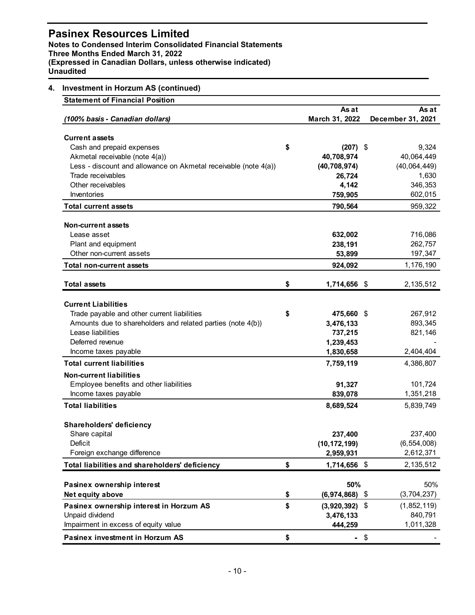### Pasinex Resources Limited

#### 4. Investment in Horzum AS (continued)

| asinex Resources Limited<br>otes to Condensed Interim Consolidated Financial Statements<br>ree Months Ended March 31, 2022<br>xpressed in Canadian Dollars, unless otherwise indicated) |                              |                            |
|-----------------------------------------------------------------------------------------------------------------------------------------------------------------------------------------|------------------------------|----------------------------|
|                                                                                                                                                                                         |                              |                            |
|                                                                                                                                                                                         |                              |                            |
|                                                                                                                                                                                         |                              |                            |
|                                                                                                                                                                                         |                              |                            |
|                                                                                                                                                                                         |                              |                            |
|                                                                                                                                                                                         |                              |                            |
|                                                                                                                                                                                         |                              |                            |
|                                                                                                                                                                                         |                              |                            |
| <b>audited</b>                                                                                                                                                                          |                              |                            |
|                                                                                                                                                                                         |                              |                            |
| <b>Investment in Horzum AS (continued)</b><br><b>Statement of Financial Position</b>                                                                                                    |                              |                            |
|                                                                                                                                                                                         | As at                        | As at                      |
| (100% basis - Canadian dollars)                                                                                                                                                         | March 31, 2022               | December 31, 2021          |
|                                                                                                                                                                                         |                              |                            |
| <b>Current assets</b>                                                                                                                                                                   |                              |                            |
| Cash and prepaid expenses                                                                                                                                                               | \$<br>$(207)$ \$             | 9,324                      |
| Akmetal receivable (note 4(a))<br>Less - discount and allowance on Akmetal receivable (note 4(a))                                                                                       | 40,708,974<br>(40, 708, 974) | 40,064,449<br>(40,064,449) |
| Trade receivables                                                                                                                                                                       | 26,724                       | 1,630                      |
| Other receivables                                                                                                                                                                       | 4,142                        | 346,353                    |
| Inventories                                                                                                                                                                             | 759,905                      | 602,015                    |
| <b>Total current assets</b>                                                                                                                                                             | 790,564                      | 959,322                    |
|                                                                                                                                                                                         |                              |                            |
| <b>Non-current assets</b>                                                                                                                                                               |                              |                            |
| Lease asset<br>Plant and equipment                                                                                                                                                      | 632,002<br>238,191           | 716,086<br>262,757         |
| Other non-current assets                                                                                                                                                                | 53,899                       | 197,347                    |
| Total non-current assets                                                                                                                                                                | 924,092                      | 1,176,190                  |
|                                                                                                                                                                                         |                              |                            |
| <b>Total assets</b>                                                                                                                                                                     | \$<br>1,714,656 \$           | 2,135,512                  |
| <b>Current Liabilities</b>                                                                                                                                                              |                              |                            |
| Trade payable and other current liabilities                                                                                                                                             | \$<br>475,660 \$             | 267,912                    |
| Amounts due to shareholders and related parties (note 4(b))                                                                                                                             | 3,476,133                    | 893,345                    |
| Lease liabilities                                                                                                                                                                       | 737,215                      | 821,146                    |
| Deferred revenue                                                                                                                                                                        | 1,239,453                    |                            |
| Income taxes payable                                                                                                                                                                    | 1,830,658                    | 2,404,404                  |
| <b>Total current liabilities</b>                                                                                                                                                        | 7,759,119                    | 4,386,807                  |
| <b>Non-current liabilities</b>                                                                                                                                                          |                              |                            |
| Employee benefits and other liabilities                                                                                                                                                 | 91,327                       | 101,724                    |
| Income taxes payable                                                                                                                                                                    | 839,078                      | 1,351,218                  |
| <b>Total liabilities</b>                                                                                                                                                                | 8,689,524                    | 5,839,749                  |
| Shareholders' deficiency                                                                                                                                                                |                              |                            |
| Share capital                                                                                                                                                                           | 237,400                      | 237,400                    |
| Deficit                                                                                                                                                                                 | (10, 172, 199)               | (6, 554, 008)              |
| Foreign exchange difference                                                                                                                                                             | 2,959,931                    | 2,612,371                  |
| Total liabilities and shareholders' deficiency                                                                                                                                          | \$<br>1,714,656 \$           | 2,135,512                  |
|                                                                                                                                                                                         | 50%                          | 50%                        |
| Pasinex ownership interest<br>Net equity above                                                                                                                                          | \$<br>$(6,974,868)$ \$       | (3,704,237)                |
| Pasinex ownership interest in Horzum AS                                                                                                                                                 | \$<br>$(3,920,392)$ \$       | (1,852,119)                |
| Unpaid dividend                                                                                                                                                                         | 3,476,133                    | 840,791                    |
| Impairment in excess of equity value                                                                                                                                                    | 444,259                      | 1,011,328                  |
| Pasinex investment in Horzum AS                                                                                                                                                         | \$<br>$-$ \$                 |                            |
|                                                                                                                                                                                         |                              |                            |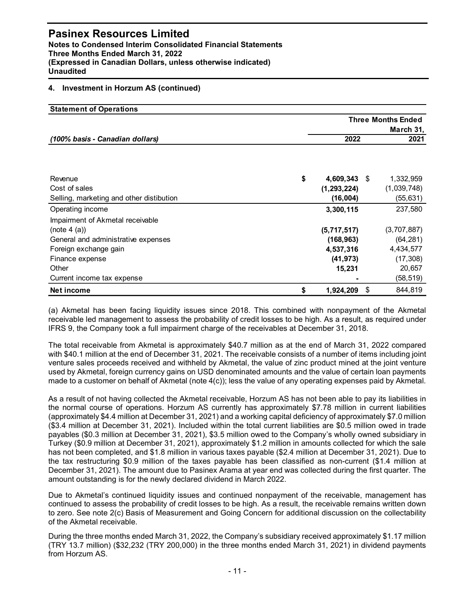#### 4. Investment in Horzum AS (continued)

| <b>Pasinex Resources Limited</b><br><b>Notes to Condensed Interim Consolidated Financial Statements</b><br>Three Months Ended March 31, 2022<br>(Expressed in Canadian Dollars, unless otherwise indicated)<br><b>Unaudited</b> |                                                               |                                                                           |
|---------------------------------------------------------------------------------------------------------------------------------------------------------------------------------------------------------------------------------|---------------------------------------------------------------|---------------------------------------------------------------------------|
| 4. Investment in Horzum AS (continued)                                                                                                                                                                                          |                                                               |                                                                           |
| <b>Statement of Operations</b>                                                                                                                                                                                                  |                                                               |                                                                           |
|                                                                                                                                                                                                                                 |                                                               | <b>Three Months Ended</b>                                                 |
| (100% basis - Canadian dollars)                                                                                                                                                                                                 | 2022                                                          | March 31,<br>2021                                                         |
| Revenue<br>Cost of sales<br>Selling, marketing and other distibution<br>Operating income                                                                                                                                        | \$<br>4,609,343 \$<br>(1, 293, 224)<br>(16,004)<br>3,300,115  | 1,332,959<br>(1,039,748)<br>(55, 631)<br>237,580                          |
| Impairment of Akmetal receivable                                                                                                                                                                                                |                                                               |                                                                           |
| (note $4$ (a))<br>General and administrative expenses<br>Foreign exchange gain<br>Finance expense<br>Other<br>Current income tax expense                                                                                        | (5,717,517)<br>(168, 963)<br>4,537,316<br>(41, 973)<br>15,231 | (3,707,887)<br>(64, 281)<br>4,434,577<br>(17, 308)<br>20,657<br>(58, 519) |
|                                                                                                                                                                                                                                 | \$<br>1,924,209 \$                                            | 844,819                                                                   |

The total receivable from Akmetal is approximately \$40.7 million as at the end of March 31, 2022 compared with \$40.1 million at the end of December 31, 2021. The receivable consists of a number of items including joint venture sales proceeds received and withheld by Akmetal, the value of zinc product mined at the joint venture used by Akmetal, foreign currency gains on USD denominated amounts and the value of certain loan payments made to a customer on behalf of Akmetal (note 4(c)); less the value of any operating expenses paid by Akmetal.

As a result of not having collected the Akmetal receivable, Horzum AS has not been able to pay its liabilities in the normal course of operations. Horzum AS currently has approximately \$7.78 million in current liabilities (approximately \$4.4 million at December 31, 2021) and a working capital deficiency of approximately \$7.0 million (\$3.4 million at December 31, 2021). Included within the total current liabilities are \$0.5 million owed in trade payables (\$0.3 million at December 31, 2021), \$3.5 million owed to the Company's wholly owned subsidiary in Turkey (\$0.9 million at December 31, 2021), approximately \$1.2 million in amounts collected for which the sale has not been completed, and \$1.8 million in various taxes payable (\$2.4 million at December 31, 2021). Due to the tax restructuring \$0.9 million of the taxes payable has been classified as non-current (\$1.4 million at December 31, 2021). The amount due to Pasinex Arama at year end was collected during the first quarter. The amount outstanding is for the newly declared dividend in March 2022.

Due to Akmetal's continued liquidity issues and continued nonpayment of the receivable, management has continued to assess the probability of credit losses to be high. As a result, the receivable remains written down to zero. See note 2(c) Basis of Measurement and Going Concern for additional discussion on the collectability of the Akmetal receivable.

During the three months ended March 31, 2022, the Company's subsidiary received approximately \$1.17 million (TRY 13.7 million) (\$32,232 (TRY 200,000) in the three months ended March 31, 2021) in dividend payments from Horzum AS.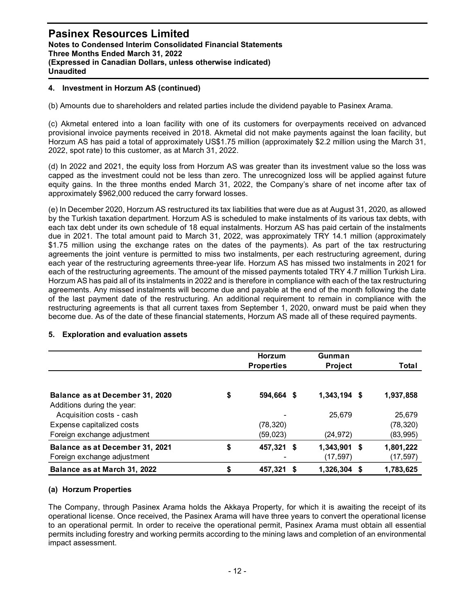#### 4. Investment in Horzum AS (continued)

(b) Amounts due to shareholders and related parties include the dividend payable to Pasinex Arama.

(c) Akmetal entered into a loan facility with one of its customers for overpayments received on advanced provisional invoice payments received in 2018. Akmetal did not make payments against the loan facility, but Horzum AS has paid a total of approximately US\$1.75 million (approximately \$2.2 million using the March 31, 2022, spot rate) to this customer, as at March 31, 2022.

(d) In 2022 and 2021, the equity loss from Horzum AS was greater than its investment value so the loss was capped as the investment could not be less than zero. The unrecognized loss will be applied against future equity gains. In the three months ended March 31, 2022, the Company's share of net income after tax of approximately \$962,000 reduced the carry forward losses.

(e) In December 2020, Horzum AS restructured its tax liabilities that were due as at August 31, 2020, as allowed by the Turkish taxation department. Horzum AS is scheduled to make instalments of its various tax debts, with each tax debt under its own schedule of 18 equal instalments. Horzum AS has paid certain of the instalments due in 2021. The total amount paid to March 31, 2022, was approximately TRY 14.1 million (approximately \$1.75 million using the exchange rates on the dates of the payments). As part of the tax restructuring agreements the joint venture is permitted to miss two instalments, per each restructuring agreement, during each year of the restructuring agreements three-year life. Horzum AS has missed two instalments in 2021 for each of the restructuring agreements. The amount of the missed payments totaled TRY 4.7 million Turkish Lira. Horzum AS has paid all of its instalments in 2022 and is therefore in compliance with each of the tax restructuring agreements. Any missed instalments will become due and payable at the end of the month following the date of the last payment date of the restructuring. An additional requirement to remain in compliance with the restructuring agreements is that all current taxes from September 1, 2020, onward must be paid when they become due. As of the date of these financial statements, Horzum AS made all of these required payments. greater than its investment value so the loss was<br>unrecognized loss will be applied against future<br>the Company's share of net income after tax of<br>s that were due as at August 31, 2020, as allowed<br>to make instalments of its is greater than its investment value so the loss was<br>the unrecognized loss will be applied against future<br>2, the Company's share of net income after tax of<br>tites that were due as at August 31, 2020, as allowed<br>ed to make sphoroximately sebc.000 reduced the carry toward losses.<br>
September 2020, Herzum AS restructured its axial initialis that were due as at August 31, 2020, as allowed<br>
by the Turkish taxation department. Horzum AS is schedul

| each tax debt under its own schedule of 18 equal instalments. Horzum AS has paid certain of the instalments<br>due in 2021. The total amount paid to March 31, 2022, was approximately TRY 14.1 million (approximately<br>\$1.75 million using the exchange rates on the dates of the payments). As part of the tax restructuring<br>agreements the joint venture is permitted to miss two instalments, per each restructuring agreement, during<br>each year of the restructuring agreements three-year life. Horzum AS has missed two instalments in 2021 for<br>each of the restructuring agreements. The amount of the missed payments totaled TRY 4.7 million Turkish Lira.<br>Horzum AS has paid all of its instalments in 2022 and is therefore in compliance with each of the tax restructuring<br>agreements. Any missed instalments will become due and payable at the end of the month following the date<br>of the last payment date of the restructuring. An additional requirement to remain in compliance with the<br>restructuring agreements is that all current taxes from September 1, 2020, onward must be paid when they<br>become due. As of the date of these financial statements, Horzum AS made all of these required payments.<br>5. Exploration and evaluation assets |    |                             |                           | by the Turkish taxation department. Horzum AS is scheduled to make instalments of its various tax debts, with |
|---------------------------------------------------------------------------------------------------------------------------------------------------------------------------------------------------------------------------------------------------------------------------------------------------------------------------------------------------------------------------------------------------------------------------------------------------------------------------------------------------------------------------------------------------------------------------------------------------------------------------------------------------------------------------------------------------------------------------------------------------------------------------------------------------------------------------------------------------------------------------------------------------------------------------------------------------------------------------------------------------------------------------------------------------------------------------------------------------------------------------------------------------------------------------------------------------------------------------------------------------------------------------------------------------|----|-----------------------------|---------------------------|---------------------------------------------------------------------------------------------------------------|
|                                                                                                                                                                                                                                                                                                                                                                                                                                                                                                                                                                                                                                                                                                                                                                                                                                                                                                                                                                                                                                                                                                                                                                                                                                                                                                   |    | Horzum<br><b>Properties</b> | Gunman<br><b>Project</b>  | Total                                                                                                         |
| Balance as at December 31, 2020<br>Additions during the year:                                                                                                                                                                                                                                                                                                                                                                                                                                                                                                                                                                                                                                                                                                                                                                                                                                                                                                                                                                                                                                                                                                                                                                                                                                     | S. | 594,664 \$                  | 1,343,194 \$              | 1,937,858                                                                                                     |
| Acquisition costs - cash<br>Expense capitalized costs                                                                                                                                                                                                                                                                                                                                                                                                                                                                                                                                                                                                                                                                                                                                                                                                                                                                                                                                                                                                                                                                                                                                                                                                                                             |    | (78, 320)<br>(59, 023)      | 25,679<br>(24, 972)       | 25,679<br>(78, 320)<br>(83, 995)                                                                              |
| Foreign exchange adjustment                                                                                                                                                                                                                                                                                                                                                                                                                                                                                                                                                                                                                                                                                                                                                                                                                                                                                                                                                                                                                                                                                                                                                                                                                                                                       |    |                             |                           |                                                                                                               |
| Balance as at December 31, 2021<br>Foreign exchange adjustment                                                                                                                                                                                                                                                                                                                                                                                                                                                                                                                                                                                                                                                                                                                                                                                                                                                                                                                                                                                                                                                                                                                                                                                                                                    | \$ | 457,321 \$                  | 1,343,901 \$<br>(17, 597) | 1,801,222<br>(17, 597)                                                                                        |

#### 5. Exploration and evaluation assets

#### (a) Horzum Properties

The Company, through Pasinex Arama holds the Akkaya Property, for which it is awaiting the receipt of its operational license. Once received, the Pasinex Arama will have three years to convert the operational license to an operational permit. In order to receive the operational permit, Pasinex Arama must obtain all essential permits including forestry and working permits according to the mining laws and completion of an environmental impact assessment.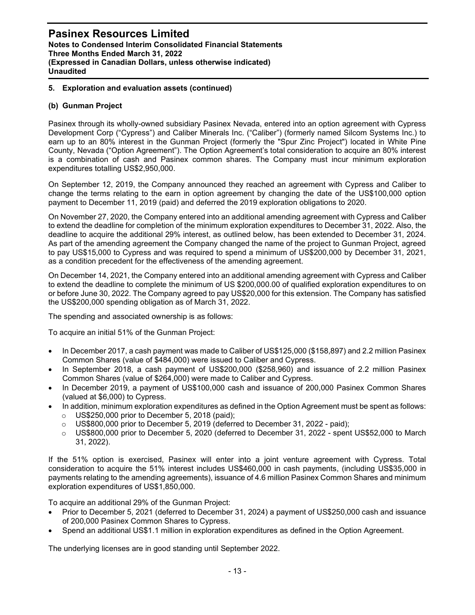#### 5. Exploration and evaluation assets (continued)

#### (b) Gunman Project

Pasinex through its wholly-owned subsidiary Pasinex Nevada, entered into an option agreement with Cypress Development Corp ("Cypress") and Caliber Minerals Inc. ("Caliber") (formerly named Silcom Systems Inc.) to earn up to an 80% interest in the Gunman Project (formerly the "Spur Zinc Project") located in White Pine County, Nevada ("Option Agreement"). The Option Agreement's total consideration to acquire an 80% interest is a combination of cash and Pasinex common shares. The Company must incur minimum exploration expenditures totalling US\$2,950,000.

On September 12, 2019, the Company announced they reached an agreement with Cypress and Caliber to change the terms relating to the earn in option agreement by changing the date of the US\$100,000 option payment to December 11, 2019 (paid) and deferred the 2019 exploration obligations to 2020.

On November 27, 2020, the Company entered into an additional amending agreement with Cypress and Caliber to extend the deadline for completion of the minimum exploration expenditures to December 31, 2022. Also, the deadline to acquire the additional 29% interest, as outlined below, has been extended to December 31, 2024. As part of the amending agreement the Company changed the name of the project to Gunman Project, agreed to pay US\$15,000 to Cypress and was required to spend a minimum of US\$200,000 by December 31, 2021, as a condition precedent for the effectiveness of the amending agreement.

On December 14, 2021, the Company entered into an additional amending agreement with Cypress and Caliber to extend the deadline to complete the minimum of US \$200,000.00 of qualified exploration expenditures to on or before June 30, 2022. The Company agreed to pay US\$20,000 for this extension. The Company has satisfied the US\$200,000 spending obligation as of March 31, 2022.

The spending and associated ownership is as follows:

To acquire an initial 51% of the Gunman Project:

- In December 2017, a cash payment was made to Caliber of US\$125,000 (\$158,897) and 2.2 million Pasinex Common Shares (value of \$484,000) were issued to Caliber and Cypress.
- In September 2018, a cash payment of US\$200,000 (\$258,960) and issuance of 2.2 million Pasinex Common Shares (value of \$264,000) were made to Caliber and Cypress.
- In December 2019, a payment of US\$100,000 cash and issuance of 200,000 Pasinex Common Shares (valued at \$6,000) to Cypress.
- In addition, minimum exploration expenditures as defined in the Option Agreement must be spent as follows:
	- $\circ$  US\$250,000 prior to December 5, 2018 (paid);
	- $\circ$  US\$800,000 prior to December 5, 2019 (deferred to December 31, 2022 paid):
	- o US\$800,000 prior to December 5, 2020 (deferred to December 31, 2022 spent US\$52,000 to March 31, 2022).

If the 51% option is exercised, Pasinex will enter into a joint venture agreement with Cypress. Total consideration to acquire the 51% interest includes US\$460,000 in cash payments, (including US\$35,000 in payments relating to the amending agreements), issuance of 4.6 million Pasinex Common Shares and minimum exploration expenditures of US\$1,850,000.

To acquire an additional 29% of the Gunman Project:

- Prior to December 5, 2021 (deferred to December 31, 2024) a payment of US\$250,000 cash and issuance of 200,000 Pasinex Common Shares to Cypress.
- Spend an additional US\$1.1 million in exploration expenditures as defined in the Option Agreement.

The underlying licenses are in good standing until September 2022.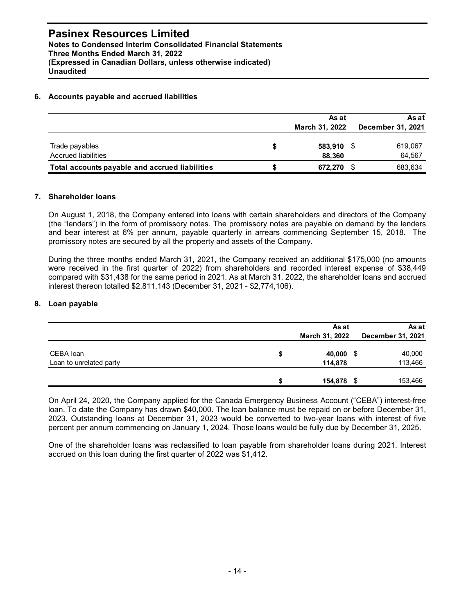#### 6. Accounts payable and accrued liabilities

#### 7. Shareholder loans

#### 8. Loan payable

|                                                                                                                                                                                                                                                                                                                                                                                                                                                                                                                                                                                                                                  | March 31, 2022             | December 31, 2021          |
|----------------------------------------------------------------------------------------------------------------------------------------------------------------------------------------------------------------------------------------------------------------------------------------------------------------------------------------------------------------------------------------------------------------------------------------------------------------------------------------------------------------------------------------------------------------------------------------------------------------------------------|----------------------------|----------------------------|
| Trade payables<br><b>Accrued liabilities</b>                                                                                                                                                                                                                                                                                                                                                                                                                                                                                                                                                                                     | \$<br>583,910 \$<br>88,360 | 619,067<br>64,567          |
| Total accounts payable and accrued liabilities                                                                                                                                                                                                                                                                                                                                                                                                                                                                                                                                                                                   | \$<br>672,270 \$           | 683,634                    |
| <b>Shareholder loans</b>                                                                                                                                                                                                                                                                                                                                                                                                                                                                                                                                                                                                         |                            |                            |
| On August 1, 2018, the Company entered into loans with certain shareholders and directors of the Company<br>(the "lenders") in the form of promissory notes. The promissory notes are payable on demand by the lenders<br>and bear interest at 6% per annum, payable quarterly in arrears commencing September 15, 2018. The<br>promissory notes are secured by all the property and assets of the Company.<br>During the three months ended March 31, 2021, the Company received an additional \$175,000 (no amounts<br>were received in the first quarter of 2022) from shareholders and recorded interest expense of \$38,449 |                            |                            |
| compared with \$31,438 for the same period in 2021. As at March 31, 2022, the shareholder loans and accrued<br>interest thereon totalled \$2,811,143 (December 31, 2021 - \$2,774,106).<br>Loan payable                                                                                                                                                                                                                                                                                                                                                                                                                          |                            |                            |
|                                                                                                                                                                                                                                                                                                                                                                                                                                                                                                                                                                                                                                  | As at<br>March 31, 2022    | As at<br>December 31, 2021 |
| CEBA loan<br>Loan to unrelated party                                                                                                                                                                                                                                                                                                                                                                                                                                                                                                                                                                                             | \$<br>40,000 \$<br>114,878 | 40,000<br>113,466          |

One of the shareholder loans was reclassified to loan payable from shareholder loans during 2021. Interest accrued on this loan during the first quarter of 2022 was \$1,412.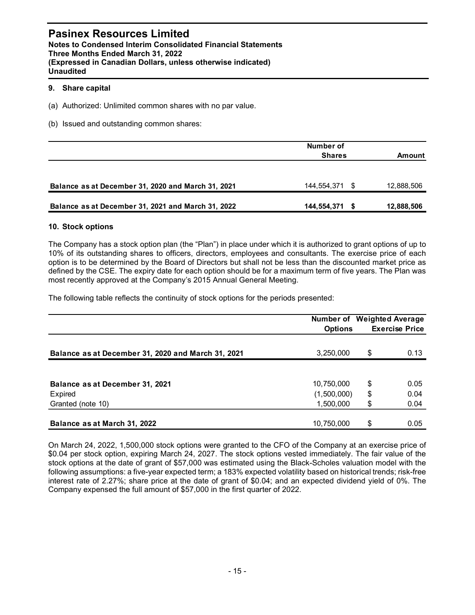#### 9. Share capital

| <b>Pasinex Resources Limited</b><br>Notes to Condensed Interim Consolidated Financial Statements<br>Three Months Ended March 31, 2022<br>(Expressed in Canadian Dollars, unless otherwise indicated)<br><b>Unaudited</b>                                                                                                                                                                                                                                                                                                                  |                            |                                                     |
|-------------------------------------------------------------------------------------------------------------------------------------------------------------------------------------------------------------------------------------------------------------------------------------------------------------------------------------------------------------------------------------------------------------------------------------------------------------------------------------------------------------------------------------------|----------------------------|-----------------------------------------------------|
| 9. Share capital                                                                                                                                                                                                                                                                                                                                                                                                                                                                                                                          |                            |                                                     |
| (a) Authorized: Unlimited common shares with no par value.                                                                                                                                                                                                                                                                                                                                                                                                                                                                                |                            |                                                     |
| (b) Issued and outstanding common shares:                                                                                                                                                                                                                                                                                                                                                                                                                                                                                                 |                            |                                                     |
|                                                                                                                                                                                                                                                                                                                                                                                                                                                                                                                                           | Number of<br><b>Shares</b> | Amount                                              |
| Balance as at December 31, 2020 and March 31, 2021                                                                                                                                                                                                                                                                                                                                                                                                                                                                                        | 144,554,371 \$             | 12,888,506                                          |
| Balance as at December 31, 2021 and March 31, 2022                                                                                                                                                                                                                                                                                                                                                                                                                                                                                        | 144,554,371 \$             | 12,888,506                                          |
| 10. Stock options                                                                                                                                                                                                                                                                                                                                                                                                                                                                                                                         |                            |                                                     |
| The Company has a stock option plan (the "Plan") in place under which it is authorized to grant options of up to<br>10% of its outstanding shares to officers, directors, employees and consultants. The exercise price of each<br>option is to be determined by the Board of Directors but shall not be less than the discounted market price as<br>defined by the CSE. The expiry date for each option should be for a maximum term of five years. The Plan was<br>most recently approved at the Company's 2015 Annual General Meeting. |                            |                                                     |
| The following table reflects the continuity of stock options for the periods presented:                                                                                                                                                                                                                                                                                                                                                                                                                                                   |                            |                                                     |
|                                                                                                                                                                                                                                                                                                                                                                                                                                                                                                                                           | <b>Options</b>             | Number of Weighted Average<br><b>Exercise Price</b> |
|                                                                                                                                                                                                                                                                                                                                                                                                                                                                                                                                           |                            |                                                     |

#### 10. Stock options

|                                                                                                                                                                                                                                                                                                                                                                                                                                                                                                                                           | <b>Shares</b>            | <b>Amount</b>                                       |
|-------------------------------------------------------------------------------------------------------------------------------------------------------------------------------------------------------------------------------------------------------------------------------------------------------------------------------------------------------------------------------------------------------------------------------------------------------------------------------------------------------------------------------------------|--------------------------|-----------------------------------------------------|
| Balance as at December 31, 2020 and March 31, 2021                                                                                                                                                                                                                                                                                                                                                                                                                                                                                        | 144,554,371 \$           | 12,888,506                                          |
| Balance as at December 31, 2021 and March 31, 2022                                                                                                                                                                                                                                                                                                                                                                                                                                                                                        | 144,554,371 \$           | 12,888,506                                          |
| 10. Stock options                                                                                                                                                                                                                                                                                                                                                                                                                                                                                                                         |                          |                                                     |
| The Company has a stock option plan (the "Plan") in place under which it is authorized to grant options of up to<br>10% of its outstanding shares to officers, directors, employees and consultants. The exercise price of each<br>option is to be determined by the Board of Directors but shall not be less than the discounted market price as<br>defined by the CSE. The expiry date for each option should be for a maximum term of five years. The Plan was<br>most recently approved at the Company's 2015 Annual General Meeting. |                          |                                                     |
|                                                                                                                                                                                                                                                                                                                                                                                                                                                                                                                                           |                          |                                                     |
| The following table reflects the continuity of stock options for the periods presented:                                                                                                                                                                                                                                                                                                                                                                                                                                                   |                          |                                                     |
|                                                                                                                                                                                                                                                                                                                                                                                                                                                                                                                                           | <b>Options</b>           | Number of Weighted Average<br><b>Exercise Price</b> |
| Balance as at December 31, 2020 and March 31, 2021                                                                                                                                                                                                                                                                                                                                                                                                                                                                                        | 3,250,000                | \$<br>0.13                                          |
| Balance as at December 31, 2021                                                                                                                                                                                                                                                                                                                                                                                                                                                                                                           | 10,750,000               | \$<br>0.05                                          |
| <b>Expired</b><br>Granted (note 10)                                                                                                                                                                                                                                                                                                                                                                                                                                                                                                       | (1,500,000)<br>1,500,000 | \$<br>0.04<br>0.04                                  |

On March 24, 2022, 1,500,000 stock options were granted to the CFO of the Company at an exercise price of \$0.04 per stock option, expiring March 24, 2027. The stock options vested immediately. The fair value of the stock options at the date of grant of \$57,000 was estimated using the Black-Scholes valuation model with the following assumptions: a five-year expected term; a 183% expected volatility based on historical trends; risk-free interest rate of 2.27%; share price at the date of grant of \$0.04; and an expected dividend yield of 0%. The Company expensed the full amount of \$57,000 in the first quarter of 2022.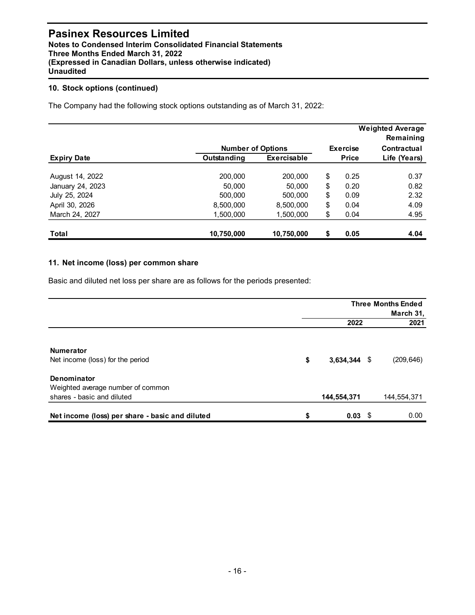#### 10. Stock options (continued)

| <b>Pasinex Resources Limited</b><br>Notes to Condensed Interim Consolidated Financial Statements<br>Three Months Ended March 31, 2022<br>(Expressed in Canadian Dollars, unless otherwise indicated)<br><b>Unaudited</b> |                          |             |      |                 |                                        |
|--------------------------------------------------------------------------------------------------------------------------------------------------------------------------------------------------------------------------|--------------------------|-------------|------|-----------------|----------------------------------------|
| 10. Stock options (continued)                                                                                                                                                                                            |                          |             |      |                 |                                        |
| The Company had the following stock options outstanding as of March 31, 2022:                                                                                                                                            |                          |             |      |                 |                                        |
|                                                                                                                                                                                                                          |                          |             |      |                 | <b>Weighted Average</b><br>Remaining   |
|                                                                                                                                                                                                                          | <b>Number of Options</b> |             |      | <b>Exercise</b> | Contractual                            |
| <b>Expiry Date</b>                                                                                                                                                                                                       | Outstanding              | Exercisable |      | <b>Price</b>    | Life (Years)                           |
| August 14, 2022                                                                                                                                                                                                          | 200,000                  | 200,000     | \$   | 0.25            | 0.37                                   |
| January 24, 2023                                                                                                                                                                                                         | 50,000                   | 50,000      | \$   | 0.20            | 0.82                                   |
| July 25, 2024                                                                                                                                                                                                            | 500,000                  | 500,000     | \$   | 0.09            | 2.32                                   |
| April 30, 2026                                                                                                                                                                                                           | 8,500,000                | 8,500,000   | $\,$ | 0.04            | 4.09                                   |
| March 24, 2027                                                                                                                                                                                                           | 1,500,000                | 1,500,000   | \$   | 0.04            | 4.95                                   |
| <b>Total</b>                                                                                                                                                                                                             | 10,750,000               | 10,750,000  | S    | 0.05            | 4.04                                   |
| 11. Net income (loss) per common share<br>Basic and diluted net loss per share are as follows for the periods presented:                                                                                                 |                          |             |      |                 |                                        |
|                                                                                                                                                                                                                          |                          |             |      |                 |                                        |
|                                                                                                                                                                                                                          |                          |             |      |                 | <b>Three Months Ended</b><br>March 31, |
|                                                                                                                                                                                                                          |                          |             |      |                 |                                        |

#### 11. Net income (loss) per common share

| <b>Expiry Date</b>                                                                                                                                | Outstanding | Exercisable | <b>Price</b>   | Life (Years)              |
|---------------------------------------------------------------------------------------------------------------------------------------------------|-------------|-------------|----------------|---------------------------|
| August 14, 2022                                                                                                                                   | 200,000     | 200,000     | \$<br>0.25     | 0.37                      |
| January 24, 2023                                                                                                                                  | 50,000      | 50,000      | \$<br>0.20     | 0.82                      |
| July 25, 2024                                                                                                                                     | 500,000     | 500,000     | \$<br>0.09     | 2.32                      |
| April 30, 2026                                                                                                                                    | 8,500,000   | 8,500,000   | \$<br>0.04     | 4.09                      |
| March 24, 2027                                                                                                                                    | 1,500,000   | 1,500,000   | \$<br>0.04     | 4.95                      |
| Total                                                                                                                                             | 10,750,000  | 10,750,000  | \$<br>0.05     | 4.04                      |
| 11. Net income (loss) per common share                                                                                                            |             |             |                |                           |
|                                                                                                                                                   |             |             |                | <b>Three Months Ended</b> |
|                                                                                                                                                   |             |             |                | March 31,                 |
|                                                                                                                                                   |             |             | 2022           | 2021                      |
| Numerator<br>Net income (loss) for the period<br>Denominator                                                                                      |             | \$          | $3,634,344$ \$ | (209, 646)                |
| Basic and diluted net loss per share are as follows for the periods presented:<br>Weighted average number of common<br>shares - basic and diluted |             |             | 144,554,371    | 144,554,371               |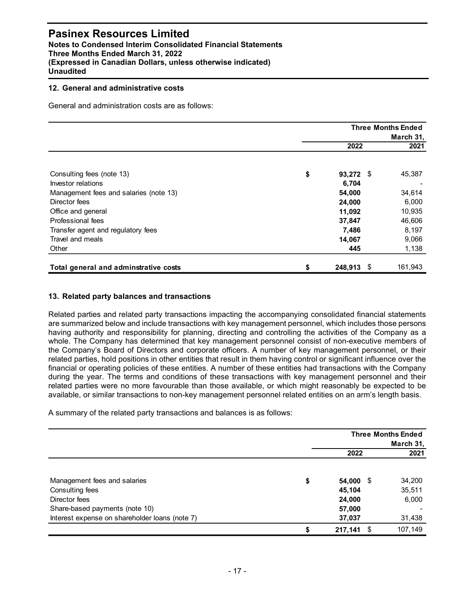#### 12. General and administrative costs

| <b>Pasinex Resources Limited</b><br>Notes to Condensed Interim Consolidated Financial Statements<br>Three Months Ended March 31, 2022<br>(Expressed in Canadian Dollars, unless otherwise indicated)<br><b>Unaudited</b> |                 |                                        |
|--------------------------------------------------------------------------------------------------------------------------------------------------------------------------------------------------------------------------|-----------------|----------------------------------------|
| 12. General and administrative costs                                                                                                                                                                                     |                 |                                        |
| General and administration costs are as follows:                                                                                                                                                                         |                 |                                        |
|                                                                                                                                                                                                                          |                 | <b>Three Months Ended</b><br>March 31, |
|                                                                                                                                                                                                                          | 2022            | 2021                                   |
| Consulting fees (note 13)                                                                                                                                                                                                | \$<br>93,272 \$ | 45,387                                 |
| Investor relations                                                                                                                                                                                                       | 6,704           |                                        |
| Management fees and salaries (note 13)                                                                                                                                                                                   | 54,000          | 34,614                                 |
| Director fees                                                                                                                                                                                                            | 24,000          | 6,000                                  |
| Office and general                                                                                                                                                                                                       | 11,092          | 10,935                                 |
| Professional fees                                                                                                                                                                                                        | 37,847          | 46,606                                 |
| Transfer agent and regulatory fees                                                                                                                                                                                       | 7,486           | 8,197                                  |
| Travel and meals                                                                                                                                                                                                         | 14,067          | 9,066                                  |
|                                                                                                                                                                                                                          | 445             | 1,138                                  |
| Other                                                                                                                                                                                                                    |                 |                                        |

#### 13. Related party balances and transactions

Related parties and related party transactions impacting the accompanying consolidated financial statements are summarized below and include transactions with key management personnel, which includes those persons having authority and responsibility for planning, directing and controlling the activities of the Company as a whole. The Company has determined that key management personnel consist of non-executive members of the Company's Board of Directors and corporate officers. A number of key management personnel, or their related parties, hold positions in other entities that result in them having control or significant influence over the financial or operating policies of these entities. A number of these entities had transactions with the Company during the year. The terms and conditions of these transactions with key management personnel and their related parties were no more favourable than those available, or which might reasonably be expected to be available, or similar transactions to non-key management personnel related entities on an arm's length basis. **443** 161,943<br> **2021**<br> **2022 2021**<br> **2022 2021**<br> **2022 2021**<br> **2022 2021**<br> **2023 2021**<br> **2023 2021**<br> **2023 2021**<br> **2023 2021**<br> **2023 2021**<br> **2023 2021**<br> **2023 2021**<br> **2023 2021**<br> **2023 2021**<br> **202** 

| 13. Related party balances and transactions                                                                                                                                                                                                                                                                                                                                                                                                                                                                                                                                                                                                                                                                                                                                                                                                                                                                                                                                                                                       |                 |                           |
|-----------------------------------------------------------------------------------------------------------------------------------------------------------------------------------------------------------------------------------------------------------------------------------------------------------------------------------------------------------------------------------------------------------------------------------------------------------------------------------------------------------------------------------------------------------------------------------------------------------------------------------------------------------------------------------------------------------------------------------------------------------------------------------------------------------------------------------------------------------------------------------------------------------------------------------------------------------------------------------------------------------------------------------|-----------------|---------------------------|
| Related parties and related party transactions impacting the accompanying consolidated financial statements<br>are summarized below and include transactions with key management personnel, which includes those persons<br>having authority and responsibility for planning, directing and controlling the activities of the Company as a<br>whole. The Company has determined that key management personnel consist of non-executive members of<br>the Company's Board of Directors and corporate officers. A number of key management personnel, or their<br>related parties, hold positions in other entities that result in them having control or significant influence over the<br>financial or operating policies of these entities. A number of these entities had transactions with the Company<br>during the year. The terms and conditions of these transactions with key management personnel and their<br>related parties were no more favourable than those available, or which might reasonably be expected to be |                 |                           |
|                                                                                                                                                                                                                                                                                                                                                                                                                                                                                                                                                                                                                                                                                                                                                                                                                                                                                                                                                                                                                                   |                 |                           |
| available, or similar transactions to non-key management personnel related entities on an arm's length basis.<br>A summary of the related party transactions and balances is as follows:                                                                                                                                                                                                                                                                                                                                                                                                                                                                                                                                                                                                                                                                                                                                                                                                                                          |                 | <b>Three Months Ended</b> |
|                                                                                                                                                                                                                                                                                                                                                                                                                                                                                                                                                                                                                                                                                                                                                                                                                                                                                                                                                                                                                                   |                 | March 31,                 |
|                                                                                                                                                                                                                                                                                                                                                                                                                                                                                                                                                                                                                                                                                                                                                                                                                                                                                                                                                                                                                                   | 2022            | 2021                      |
| Management fees and salaries                                                                                                                                                                                                                                                                                                                                                                                                                                                                                                                                                                                                                                                                                                                                                                                                                                                                                                                                                                                                      | \$<br>54,000 \$ | 34,200                    |
| Consulting fees                                                                                                                                                                                                                                                                                                                                                                                                                                                                                                                                                                                                                                                                                                                                                                                                                                                                                                                                                                                                                   | 45,104          | 35,511                    |
| Director fees                                                                                                                                                                                                                                                                                                                                                                                                                                                                                                                                                                                                                                                                                                                                                                                                                                                                                                                                                                                                                     | 24,000          | 6,000                     |
| Share-based payments (note 10)                                                                                                                                                                                                                                                                                                                                                                                                                                                                                                                                                                                                                                                                                                                                                                                                                                                                                                                                                                                                    | 57,000          |                           |
| Interest expense on shareholder loans (note 7)                                                                                                                                                                                                                                                                                                                                                                                                                                                                                                                                                                                                                                                                                                                                                                                                                                                                                                                                                                                    | 37,037          | 31,438                    |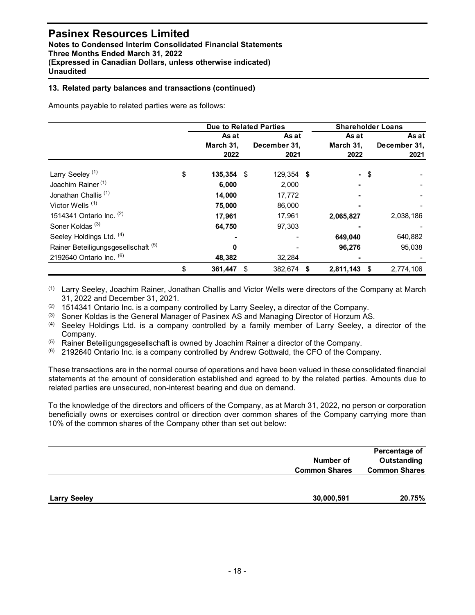#### 13. Related party balances and transactions (continued)

| Notes to Condensed Interim Consolidated Financial Statements<br>Three Months Ended March 31, 2022<br>(Expressed in Canadian Dollars, unless otherwise indicated)<br><b>Unaudited</b> | <b>Pasinex Resources Limited</b> |                            |                               |                            |                               |
|--------------------------------------------------------------------------------------------------------------------------------------------------------------------------------------|----------------------------------|----------------------------|-------------------------------|----------------------------|-------------------------------|
| 13. Related party balances and transactions (continued)                                                                                                                              |                                  |                            |                               |                            |                               |
| Amounts payable to related parties were as follows:                                                                                                                                  |                                  |                            |                               |                            |                               |
|                                                                                                                                                                                      |                                  |                            | <b>Due to Related Parties</b> | <b>Shareholder Loans</b>   |                               |
|                                                                                                                                                                                      |                                  | As at<br>March 31,<br>2022 | As at<br>December 31,<br>2021 | As at<br>March 31,<br>2022 | As at<br>December 31,<br>2021 |
| Larry Seeley <sup>(1)</sup>                                                                                                                                                          | \$                               | 135,354 \$                 | 129,354 \$                    | - \$                       |                               |
| Joachim Rainer <sup>(1)</sup>                                                                                                                                                        |                                  | 6,000                      | 2,000                         |                            |                               |
| Jonathan Challis <sup>(1)</sup>                                                                                                                                                      |                                  | 14,000                     | 17,772                        |                            |                               |
| Victor Wells <sup>(1)</sup>                                                                                                                                                          |                                  | 75,000                     | 86,000                        |                            |                               |
| 1514341 Ontario Inc. (2)                                                                                                                                                             |                                  | 17,961                     | 17,961                        | 2,065,827                  | 2,038,186                     |
| Soner Koldas <sup>(3)</sup>                                                                                                                                                          |                                  | 64,750                     | 97,303                        |                            |                               |
|                                                                                                                                                                                      |                                  |                            |                               | 649,040                    | 640,882                       |
| Seeley Holdings Ltd. (4)                                                                                                                                                             |                                  |                            |                               |                            |                               |
| Rainer Beteiligungsgesellschaft <sup>(5)</sup>                                                                                                                                       |                                  | 0                          |                               | 96,276                     | 95,038                        |
| 2192640 Ontario Inc. (6)                                                                                                                                                             |                                  | 48,382                     | 32,284                        |                            |                               |

- (4) Seeley Holdings Ltd. is a company controlled by a family member of Larry Seeley, a director of the Company.
- (5) Rainer Beteiligungsgesellschaft is owned by Joachim Rainer a director of the Company.
- $(6)$  2192640 Ontario Inc. is a company controlled by Andrew Gottwald, the CFO of the Company.

| (1) |                                                                                                                                                                                                                                                                                                |                      | 2,811,143 \$<br>2,774,106 |
|-----|------------------------------------------------------------------------------------------------------------------------------------------------------------------------------------------------------------------------------------------------------------------------------------------------|----------------------|---------------------------|
|     | Larry Seeley, Joachim Rainer, Jonathan Challis and Victor Wells were directors of the Company at March                                                                                                                                                                                         |                      |                           |
|     | 31, 2022 and December 31, 2021.                                                                                                                                                                                                                                                                |                      |                           |
| (2) | 1514341 Ontario Inc. is a company controlled by Larry Seeley, a director of the Company.                                                                                                                                                                                                       |                      |                           |
| (3) | Soner Koldas is the General Manager of Pasinex AS and Managing Director of Horzum AS.                                                                                                                                                                                                          |                      |                           |
| (4) | Seeley Holdings Ltd. is a company controlled by a family member of Larry Seeley, a director of the<br>Company.                                                                                                                                                                                 |                      |                           |
| (5) | Rainer Beteiligungsgesellschaft is owned by Joachim Rainer a director of the Company.                                                                                                                                                                                                          |                      |                           |
| (6) | 2192640 Ontario Inc. is a company controlled by Andrew Gottwald, the CFO of the Company.                                                                                                                                                                                                       |                      |                           |
|     | To the knowledge of the directors and officers of the Company, as at March 31, 2022, no person or corporation<br>beneficially owns or exercises control or direction over common shares of the Company carrying more than<br>10% of the common shares of the Company other than set out below: |                      |                           |
|     |                                                                                                                                                                                                                                                                                                |                      | Percentage of             |
|     |                                                                                                                                                                                                                                                                                                | Number of            | Outstanding               |
|     |                                                                                                                                                                                                                                                                                                | <b>Common Shares</b> | <b>Common Shares</b>      |
|     |                                                                                                                                                                                                                                                                                                |                      |                           |